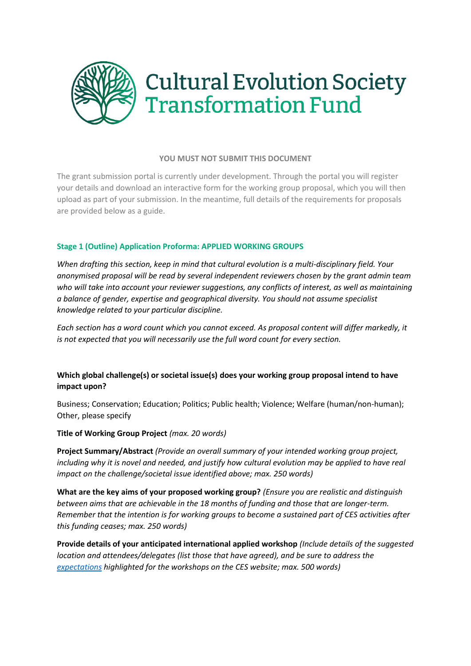

## **YOU MUST NOT SUBMIT THIS DOCUMENT**

The grant submission portal is currently under development. Through the portal you will register your details and download an interactive form for the working group proposal, which you will then upload as part of your submission. In the meantime, full details of the requirements for proposals are provided below as a guide.

## **Stage 1 (Outline) Application Proforma: APPLIED WORKING GROUPS**

*When drafting this section, keep in mind that cultural evolution is a multi-disciplinary field. Your anonymised proposal will be read by several independent reviewers chosen by the grant admin team who will take into account your reviewer suggestions, any conflicts of interest, as well as maintaining a balance of gender, expertise and geographical diversity. You should not assume specialist knowledge related to your particular discipline.* 

*Each section has a word count which you cannot exceed. As proposal content will differ markedly, it is not expected that you will necessarily use the full word count for every section.*

## **Which global challenge(s) or societal issue(s) does your working group proposal intend to have impact upon?**

Business; Conservation; Education; Politics; Public health; Violence; Welfare (human/non-human); Other, please specify

**Title of Working Group Project** *(max. 20 words)*

**Project Summary/Abstract** *(Provide an overall summary of your intended working group project, including why it is novel and needed, and justify how cultural evolution may be applied to have real impact on the challenge/societal issue identified above; max. 250 words)*

**What are the key aims of your proposed working group?** *(Ensure you are realistic and distinguish between aims that are achievable in the 18 months of funding and those that are longer-term. Remember that the intention is for working groups to become a sustained part of CES activities after this funding ceases; max. 250 words)*

**Provide details of your anticipated international applied workshop** *(Include details of the suggested location and attendees/delegates (list those that have agreed), and be sure to address the [expectations](https://culturalevolutionsociety.org/story/Templeton_Grant_2021_Calls#awg) highlighted for the workshops on the CES website; max. 500 words)*